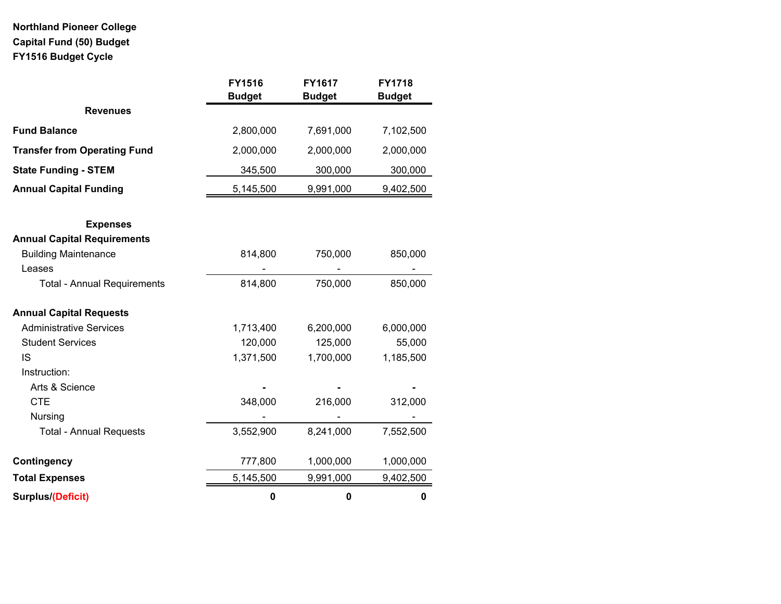# **Northland Pioneer College Capital Fund (50) Budget FY1516 Budget Cycle**

|                                     | <b>FY1516</b><br><b>Budget</b> | <b>FY1617</b><br><b>Budget</b> | <b>FY1718</b><br><b>Budget</b> |
|-------------------------------------|--------------------------------|--------------------------------|--------------------------------|
| <b>Revenues</b>                     |                                |                                |                                |
| <b>Fund Balance</b>                 | 2,800,000                      | 7,691,000                      | 7,102,500                      |
| <b>Transfer from Operating Fund</b> | 2,000,000                      | 2,000,000                      | 2,000,000                      |
| <b>State Funding - STEM</b>         | 345,500                        | 300,000                        | 300,000                        |
| <b>Annual Capital Funding</b>       | 5,145,500                      | 9,991,000                      | 9,402,500                      |
| <b>Expenses</b>                     |                                |                                |                                |
| <b>Annual Capital Requirements</b>  |                                |                                |                                |
| <b>Building Maintenance</b>         | 814,800                        | 750,000                        | 850,000                        |
| Leases                              |                                |                                |                                |
| <b>Total - Annual Requirements</b>  | 814,800                        | 750,000                        | 850,000                        |
| <b>Annual Capital Requests</b>      |                                |                                |                                |
| <b>Administrative Services</b>      | 1,713,400                      | 6,200,000                      | 6,000,000                      |
| <b>Student Services</b>             | 120,000                        | 125,000                        | 55,000                         |
| IS                                  | 1,371,500                      | 1,700,000                      | 1,185,500                      |
| Instruction:                        |                                |                                |                                |
| Arts & Science                      |                                |                                |                                |
| <b>CTE</b>                          | 348,000                        | 216,000                        | 312,000                        |
| Nursing                             |                                |                                |                                |
| <b>Total - Annual Requests</b>      | 3,552,900                      | 8,241,000                      | 7,552,500                      |
| Contingency                         | 777,800                        | 1,000,000                      | 1,000,000                      |
| <b>Total Expenses</b>               | 5,145,500                      | 9,991,000                      | 9,402,500                      |
| Surplus/(Deficit)                   | $\bf{0}$                       | $\pmb{0}$                      | $\bf{0}$                       |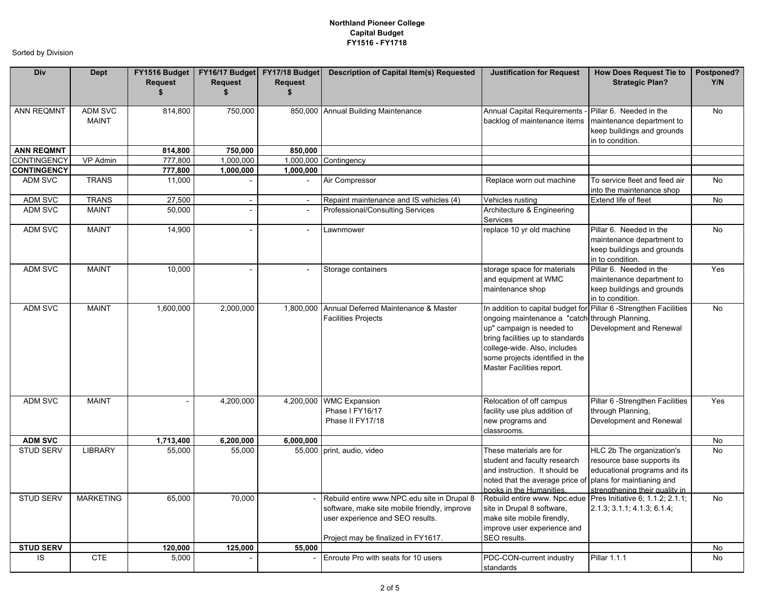| Div                | <b>Dept</b>                    | FY1516 Budget<br><b>Request</b><br>\$ | <b>Request</b><br>\$     | FY16/17 Budget FY17/18 Budget<br><b>Request</b><br>\$ | <b>Description of Capital Item(s) Requested</b>                                                                                                                        | <b>Justification for Request</b>                                                                                                                                                                                                                                                     | <b>How Does Request Tie to</b><br><b>Strategic Plan?</b>                                                                  | Postponed?<br>Y/N |
|--------------------|--------------------------------|---------------------------------------|--------------------------|-------------------------------------------------------|------------------------------------------------------------------------------------------------------------------------------------------------------------------------|--------------------------------------------------------------------------------------------------------------------------------------------------------------------------------------------------------------------------------------------------------------------------------------|---------------------------------------------------------------------------------------------------------------------------|-------------------|
| <b>ANN REQMNT</b>  | <b>ADM SVC</b><br><b>MAINT</b> | 814,800                               | 750,000                  |                                                       | 850,000 Annual Building Maintenance                                                                                                                                    | <b>Annual Capital Requirements</b><br>backlog of maintenance items                                                                                                                                                                                                                   | Pillar 6. Needed in the<br>maintenance department to<br>keep buildings and grounds<br>in to condition.                    | No                |
| <b>ANN REQMNT</b>  |                                | 814,800                               | 750,000                  | 850,000                                               |                                                                                                                                                                        |                                                                                                                                                                                                                                                                                      |                                                                                                                           |                   |
| CONTINGENCY        | VP Admin                       | 777,800                               | 1,000,000                |                                                       | 1,000,000 Contingency                                                                                                                                                  |                                                                                                                                                                                                                                                                                      |                                                                                                                           |                   |
| <b>CONTINGENCY</b> |                                | 777,800                               | 1,000,000                | 1,000,000                                             |                                                                                                                                                                        |                                                                                                                                                                                                                                                                                      |                                                                                                                           |                   |
| ADM SVC            | <b>TRANS</b>                   | 11,000                                |                          |                                                       | Air Compressor                                                                                                                                                         | Replace worn out machine                                                                                                                                                                                                                                                             | To service fleet and feed air<br>into the maintenance shop                                                                | <b>No</b>         |
| ADM SVC            | <b>TRANS</b>                   | 27,500                                | $\overline{a}$           | $\mathcal{L}_{\mathcal{A}}$                           | Repaint maintenance and IS vehicles (4)                                                                                                                                | Vehicles rusting                                                                                                                                                                                                                                                                     | Extend life of fleet                                                                                                      | No                |
| ADM SVC            | <b>MAINT</b>                   | 50,000                                | $\overline{\phantom{a}}$ | $\sim$                                                | Professional/Consulting Services                                                                                                                                       | Architecture & Engineering<br>Services                                                                                                                                                                                                                                               |                                                                                                                           |                   |
| ADM SVC            | <b>MAINT</b>                   | 14,900                                |                          | $\overline{\phantom{a}}$                              | Lawnmower                                                                                                                                                              | replace 10 yr old machine                                                                                                                                                                                                                                                            | Pillar 6. Needed in the<br>maintenance department to<br>keep buildings and grounds<br>in to condition.                    | <b>No</b>         |
| ADM SVC            | <b>MAINT</b>                   | 10,000                                |                          | $\overline{\phantom{a}}$                              | Storage containers                                                                                                                                                     | storage space for materials<br>and equipment at WMC<br>maintenance shop                                                                                                                                                                                                              | Pillar 6. Needed in the<br>maintenance department to<br>keep buildings and grounds<br>in to condition.                    | Yes               |
| ADM SVC            | <b>MAINT</b>                   | 1,600,000                             | 2,000,000                |                                                       | 1,800,000 Annual Deferred Maintenance & Master<br><b>Facilities Projects</b>                                                                                           | In addition to capital budget for Pillar 6 -Strengthen Facilities<br>ongoing maintenance a "catch through Planning,<br>up" campaign is needed to<br>bring facilities up to standards<br>college-wide. Also, includes<br>some projects identified in the<br>Master Facilities report. | Development and Renewal                                                                                                   | <b>No</b>         |
| <b>ADM SVC</b>     | <b>MAINT</b>                   |                                       | 4,200,000                |                                                       | 4,200,000 WMC Expansion<br>Phase I FY16/17<br>Phase II FY17/18                                                                                                         | Relocation of off campus<br>facility use plus addition of<br>new programs and<br>classrooms.                                                                                                                                                                                         | Pillar 6 - Strengthen Facilities<br>through Planning,<br>Development and Renewal                                          | Yes               |
| <b>ADM SVC</b>     |                                | 1,713,400                             | 6,200,000                | 6,000,000                                             |                                                                                                                                                                        |                                                                                                                                                                                                                                                                                      |                                                                                                                           | No                |
| <b>STUD SERV</b>   | LIBRARY                        | 55,000                                | 55,000                   |                                                       | 55,000 print, audio, video                                                                                                                                             | These materials are for<br>student and faculty research<br>and instruction. It should be<br>noted that the average price of plans for maintianing and<br>books in the Humanities.                                                                                                    | HLC 2b The organization's<br>resource base supports its<br>educational programs and its<br>strengthening their quality in | No                |
| <b>STUD SERV</b>   | <b>MARKETING</b>               | 65,000                                | 70,000                   |                                                       | Rebuild entire www.NPC.edu site in Drupal 8<br>software, make site mobile friendly, improve<br>user experience and SEO results.<br>Project may be finalized in FY1617. | Rebuild entire www. Npc.edue Pres Initiative 6: 1.1.2: 2.1.1:<br>site in Drupal 8 software,<br>make site mobile firendly,<br>improve user experience and<br>SEO results.                                                                                                             | 2.1.3; 3.1.1; 4.1.3; 6.1.4;                                                                                               | No                |
| <b>STUD SERV</b>   |                                | $\overline{120,000}$                  | 125,000                  | 55,000                                                |                                                                                                                                                                        |                                                                                                                                                                                                                                                                                      |                                                                                                                           | No                |
| IS                 | <b>CTE</b>                     | 5,000                                 |                          |                                                       | Enroute Pro with seats for 10 users                                                                                                                                    | PDC-CON-current industry<br>standards                                                                                                                                                                                                                                                | <b>Pillar 1.1.1</b>                                                                                                       | No                |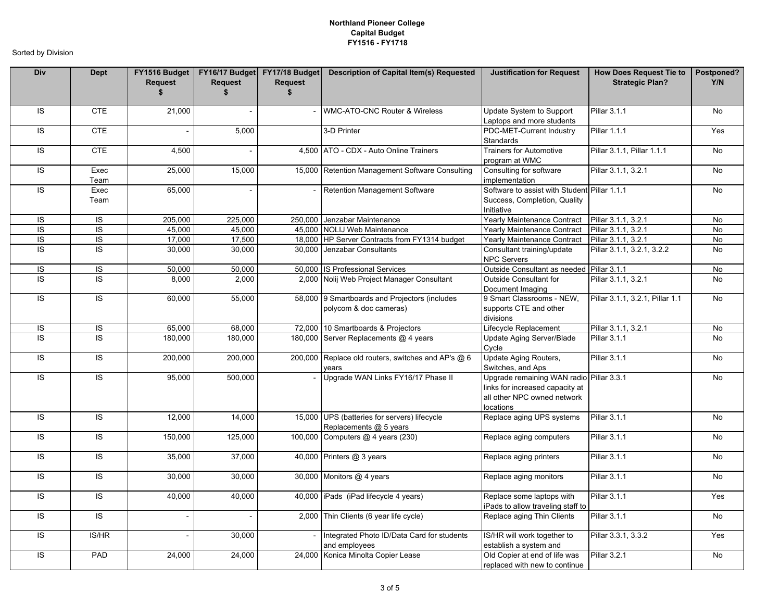| Div            | <b>Dept</b>    | Request<br>\$ | <b>Request</b><br>\$ | <b>Request</b><br>$\mathbf{s}$ | FY1516 Budget   FY16/17 Budget   FY17/18 Budget   Description of Capital Item(s) Requested | <b>Justification for Request</b>                                                                                        | <b>How Does Request Tie to</b><br><b>Strategic Plan?</b> | Postponed?<br>Y/N |
|----------------|----------------|---------------|----------------------|--------------------------------|--------------------------------------------------------------------------------------------|-------------------------------------------------------------------------------------------------------------------------|----------------------------------------------------------|-------------------|
| IS             | <b>CTE</b>     | 21,000        |                      |                                | - WMC-ATO-CNC Router & Wireless                                                            | Update System to Support<br>Laptops and more students                                                                   | <b>Pillar 3.1.1</b>                                      | No                |
| <b>IS</b>      | <b>CTE</b>     |               | 5,000                |                                | 3-D Printer                                                                                | PDC-MET-Current Industry<br>Standards                                                                                   | Pillar 1.1.1                                             | Yes               |
| <b>IS</b>      | <b>CTE</b>     | 4.500         |                      |                                | 4.500 ATO - CDX - Auto Online Trainers                                                     | <b>Trainers for Automotive</b><br>program at WMC                                                                        | Pillar 3.1.1, Pillar 1.1.1                               | <b>No</b>         |
| IS             | Exec<br>Team   | 25,000        | 15,000               |                                | 15,000 Retention Management Software Consulting                                            | Consulting for software<br>implementation                                                                               | Pillar 3.1.1, 3.2.1                                      | No                |
| IS             | Exec<br>Team   | 65,000        |                      |                                | <b>Retention Management Software</b>                                                       | Software to assist with Student Pillar 1.1.1<br>Success, Completion, Quality<br>Initiative                              |                                                          | <b>No</b>         |
| <b>IS</b>      | <b>IS</b>      | 205,000       | 225,000              |                                | 250,000 Jenzabar Maintenance                                                               | Yearly Maintenance Contract                                                                                             | Pillar 3.1.1, 3.2.1                                      | <b>No</b>         |
| $\overline{S}$ | $\overline{S}$ | 45,000        | 45,000               |                                | 45,000 NOLIJ Web Maintenance                                                               | Yearly Maintenance Contract                                                                                             | Pillar 3.1.1, 3.2.1                                      | <b>No</b>         |
| IS             | $\overline{S}$ | 17,000        | 17,500               |                                | 18,000 HP Server Contracts from FY1314 budget                                              | Yearly Maintenance Contract                                                                                             | Pillar 3.1.1, 3.2.1                                      | No                |
| IS             | IS.            | 30,000        | 30,000               |                                | 30,000 Jenzabar Consultants                                                                | Consultant training/update<br><b>NPC Servers</b>                                                                        | Pillar 3.1.1, 3.2.1, 3.2.2                               | No                |
| IS             | IS             | 50,000        | 50,000               |                                | 50,000 IS Professional Services                                                            | Outside Consultant as needed Pillar 3.1.1                                                                               |                                                          | No                |
| IS             | $\overline{s}$ | 8,000         | 2,000                |                                | 2,000 Nolij Web Project Manager Consultant                                                 | Outside Consultant for<br>Document Imaging                                                                              | Pillar 3.1.1, 3.2.1                                      | <b>No</b>         |
| IS             | $\overline{S}$ | 60,000        | 55,000               |                                | 58,000 9 Smartboards and Projectors (includes<br>polycom & doc cameras)                    | 9 Smart Classrooms - NEW,<br>supports CTE and other<br>divisions                                                        | Pillar 3.1.1, 3.2.1, Pillar 1.1                          | No                |
| IS             | $\overline{S}$ | 65,000        | 68,000               |                                | 72,000 10 Smartboards & Projectors                                                         | Lifecycle Replacement                                                                                                   | Pillar 3.1.1, 3.2.1                                      | <b>No</b>         |
| <b>IS</b>      | $\overline{s}$ | 180,000       | 180,000              |                                | 180,000 Server Replacements @ 4 years                                                      | Update Aging Server/Blade<br>Cycle                                                                                      | Pillar 3.1.1                                             | <b>No</b>         |
| IS             | $\overline{S}$ | 200,000       | 200,000              |                                | 200,000 Replace old routers, switches and AP's @ 6<br>ears                                 | Update Aging Routers,<br>Switches, and Aps                                                                              | Pillar 3.1.1                                             | <b>No</b>         |
| IS             | <b>IS</b>      | 95,000        | 500,000              |                                | Upgrade WAN Links FY16/17 Phase II                                                         | Upgrade remaining WAN radio Pillar 3.3.1<br>links for increased capacity at<br>all other NPC owned network<br>locations |                                                          | No                |
| IS             | <b>IS</b>      | 12,000        | 14,000               |                                | 15,000 UPS (batteries for servers) lifecycle<br>Replacements @ 5 years                     | Replace aging UPS systems                                                                                               | <b>Pillar 3.1.1</b>                                      | No                |
| IS             | IS             | 150,000       | 125,000              |                                | 100,000 Computers @ 4 years (230)                                                          | Replace aging computers                                                                                                 | Pillar 3.1.1                                             | No                |
| <b>IS</b>      | <b>IS</b>      | 35,000        | 37,000               |                                | 40,000 Printers @ 3 years                                                                  | Replace aging printers                                                                                                  | Pillar 3.1.1                                             | <b>No</b>         |
| <b>IS</b>      | <b>IS</b>      | 30,000        | 30,000               |                                | 30,000 Monitors @ 4 years                                                                  | Replace aging monitors                                                                                                  | Pillar 3.1.1                                             | <b>No</b>         |
| $\overline{S}$ | <b>IS</b>      | 40,000        | 40,000               |                                | 40,000 iPads (iPad lifecycle 4 years)                                                      | Replace some laptops with<br>iPads to allow traveling staff to                                                          | Pillar 3.1.1                                             | Yes               |
| IS             | <b>IS</b>      |               |                      |                                | 2,000 Thin Clients (6 year life cycle)                                                     | Replace aging Thin Clients                                                                                              | Pillar 3.1.1                                             | <b>No</b>         |
| <b>IS</b>      | IS/HR          |               | 30,000               |                                | Integrated Photo ID/Data Card for students<br>and employees                                | IS/HR will work together to<br>establish a system and                                                                   | Pillar 3.3.1, 3.3.2                                      | Yes               |
| <b>IS</b>      | PAD            | 24,000        | 24,000               |                                | 24,000 Konica Minolta Copier Lease                                                         | Old Copier at end of life was<br>replaced with new to continue                                                          | <b>Pillar 3.2.1</b>                                      | No                |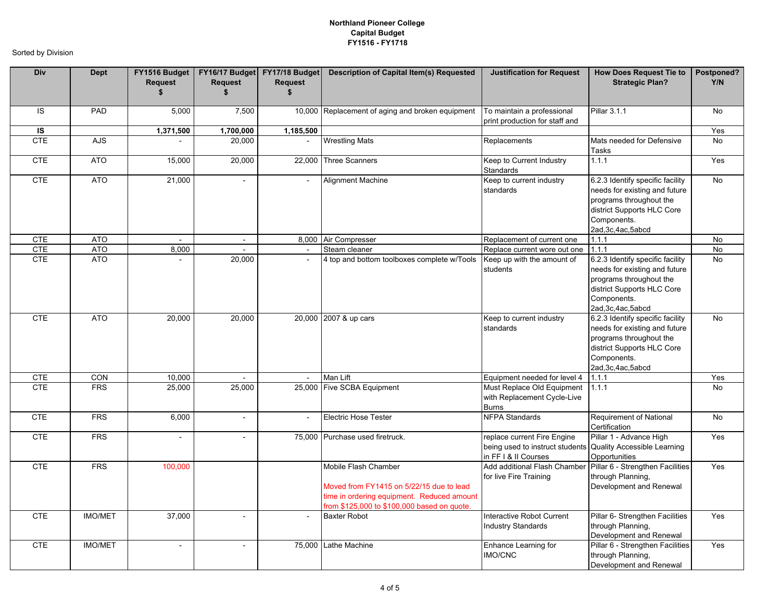| Div        | <b>Dept</b>    | Request<br>\$            | FY1516 Budget   FY16/17 Budget   FY17/18 Budget<br><b>Request</b><br>\$ | <b>Request</b><br>\$     | Description of Capital Item(s) Requested                                                                                                                      | <b>Justification for Request</b>                                                       | <b>How Does Request Tie to</b><br><b>Strategic Plan?</b>                                                                                                         | Postponed?<br>Y/N |
|------------|----------------|--------------------------|-------------------------------------------------------------------------|--------------------------|---------------------------------------------------------------------------------------------------------------------------------------------------------------|----------------------------------------------------------------------------------------|------------------------------------------------------------------------------------------------------------------------------------------------------------------|-------------------|
| <b>IS</b>  | PAD            | 5,000                    | 7,500                                                                   |                          | 10,000 Replacement of aging and broken equipment                                                                                                              | To maintain a professional<br>print production for staff and                           | Pillar 3.1.1                                                                                                                                                     | <b>No</b>         |
| IS         |                | 1,371,500                | 1,700,000                                                               | 1,185,500                |                                                                                                                                                               |                                                                                        |                                                                                                                                                                  | Yes               |
| <b>CTE</b> | <b>AJS</b>     |                          | 20,000                                                                  |                          | <b>Wrestling Mats</b>                                                                                                                                         | Replacements                                                                           | Mats needed for Defensive<br>Tasks                                                                                                                               | No                |
| <b>CTE</b> | <b>ATO</b>     | 15,000                   | 20,000                                                                  |                          | 22,000 Three Scanners                                                                                                                                         | Keep to Current Industry<br>Standards                                                  | 1.1.1                                                                                                                                                            | Yes               |
| <b>CTE</b> | <b>ATO</b>     | 21,000                   |                                                                         | $\blacksquare$           | <b>Alignment Machine</b>                                                                                                                                      | Keep to current industry<br>standards                                                  | 6.2.3 Identify specific facility<br>needs for existing and future<br>programs throughout the<br>district Supports HLC Core<br>Components.<br>2ad, 3c, 4ac, 5abcd | <b>No</b>         |
| <b>CTE</b> | <b>ATO</b>     | $\sim$                   | $\overline{\phantom{a}}$                                                |                          | 8,000 Air Compresser                                                                                                                                          | Replacement of current one                                                             | 1.1.1                                                                                                                                                            | No                |
| <b>CTE</b> | <b>ATO</b>     | 8,000                    | $\sim$                                                                  | $\sim$                   | Steam cleaner                                                                                                                                                 | Replace current wore out one                                                           | 1.1.1                                                                                                                                                            | No                |
| <b>CTE</b> | <b>ATO</b>     |                          | 20,000                                                                  | $\blacksquare$           | 4 top and bottom toolboxes complete w/Tools                                                                                                                   | Keep up with the amount of<br>students                                                 | 6.2.3 Identify specific facility<br>needs for existing and future<br>programs throughout the<br>district Supports HLC Core<br>Components.<br>2ad, 3c, 4ac, 5abcd | <b>No</b>         |
| <b>CTE</b> | <b>ATO</b>     | 20,000                   | 20,000                                                                  |                          | 20,000 2007 & up cars                                                                                                                                         | Keep to current industry<br>standards                                                  | 6.2.3 Identify specific facility<br>needs for existing and future<br>programs throughout the<br>district Supports HLC Core<br>Components.<br>2ad, 3c, 4ac, 5abcd | <b>No</b>         |
| <b>CTE</b> | <b>CON</b>     | 10,000                   |                                                                         | $\mathbf{r}$             | Man Lift                                                                                                                                                      | Equipment needed for level 4                                                           | 1.1.1                                                                                                                                                            | Yes               |
| <b>CTE</b> | <b>FRS</b>     | 25,000                   | 25,000                                                                  |                          | 25,000 Five SCBA Equipment                                                                                                                                    | Must Replace Old Equipment<br>with Replacement Cycle-Live<br><b>Burns</b>              | 1.1.1                                                                                                                                                            | No                |
| <b>CTE</b> | <b>FRS</b>     | 6,000                    | $\overline{\phantom{a}}$                                                | $\overline{\phantom{a}}$ | <b>Electric Hose Tester</b>                                                                                                                                   | <b>NFPA Standards</b>                                                                  | Requirement of National<br>Certification                                                                                                                         | No                |
| <b>CTE</b> | <b>FRS</b>     | $\overline{\phantom{a}}$ | $\overline{a}$                                                          |                          | 75,000 Purchase used firetruck.                                                                                                                               | replace current Fire Engine<br>being used to instruct students<br>in FF I & II Courses | Pillar 1 - Advance High<br><b>Quality Accessible Learning</b><br>Opportunities                                                                                   | Yes               |
| <b>CTE</b> | <b>FRS</b>     | 100,000                  |                                                                         |                          | Mobile Flash Chamber<br>Moved from FY1415 on 5/22/15 due to lead<br>time in ordering equipment. Reduced amount<br>from \$125,000 to \$100,000 based on quote. | Add additional Flash Chamber<br>for live Fire Training                                 | Pillar 6 - Strengthen Facilities<br>through Planning,<br>Development and Renewal                                                                                 | Yes               |
| <b>CTE</b> | <b>IMO/MET</b> | 37,000                   |                                                                         |                          | <b>Baxter Robot</b>                                                                                                                                           | Interactive Robot Current<br><b>Industry Standards</b>                                 | Pillar 6- Strengthen Facilities<br>through Planning,<br>Development and Renewal                                                                                  | Yes               |
| <b>CTE</b> | <b>IMO/MET</b> | $\overline{\phantom{a}}$ | $\overline{a}$                                                          |                          | 75,000 Lathe Machine                                                                                                                                          | Enhance Learning for<br><b>IMO/CNC</b>                                                 | Pillar 6 - Strengthen Facilities<br>through Planning,<br>Development and Renewal                                                                                 | Yes               |